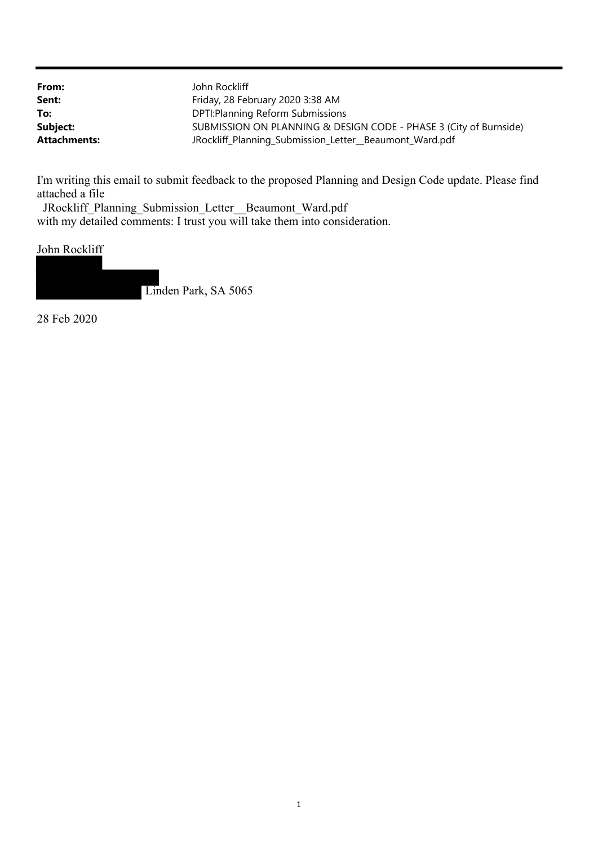| From:               | John Rockliff                                                     |
|---------------------|-------------------------------------------------------------------|
| Sent:               | Friday, 28 February 2020 3:38 AM                                  |
| To:                 | DPTI: Planning Reform Submissions                                 |
| Subject:            | SUBMISSION ON PLANNING & DESIGN CODE - PHASE 3 (City of Burnside) |
| <b>Attachments:</b> | JRockliff_Planning_Submission_Letter_Beaumont_Ward.pdf            |

I'm writing this email to submit feedback to the proposed Planning and Design Code update. Please find attached a file

 JRockliff\_Planning\_Submission\_Letter\_\_Beaumont\_Ward.pdf with my detailed comments: I trust you will take them into consideration.

# John Rockliff

Linden Park, SA 5065

28 Feb 2020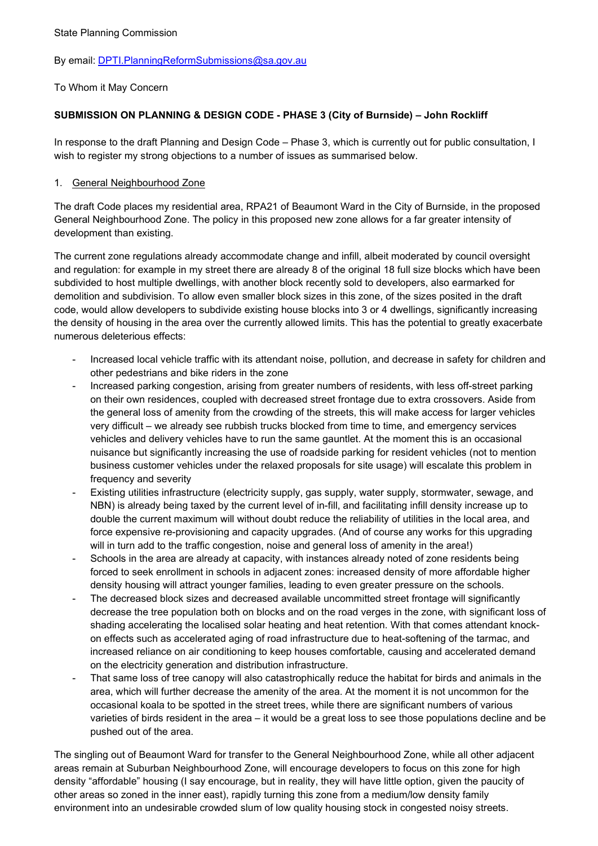#### By email: DPTI.PlanningReformSubmissions@sa.gov.au

#### To Whom it May Concern

## SUBMISSION ON PLANNING & DESIGN CODE - PHASE 3 (City of Burnside) – John Rockliff

In response to the draft Planning and Design Code – Phase 3, which is currently out for public consultation, I wish to register my strong objections to a number of issues as summarised below.

#### 1. General Neighbourhood Zone

The draft Code places my residential area, RPA21 of Beaumont Ward in the City of Burnside, in the proposed General Neighbourhood Zone. The policy in this proposed new zone allows for a far greater intensity of development than existing.

The current zone regulations already accommodate change and infill, albeit moderated by council oversight and regulation: for example in my street there are already 8 of the original 18 full size blocks which have been subdivided to host multiple dwellings, with another block recently sold to developers, also earmarked for demolition and subdivision. To allow even smaller block sizes in this zone, of the sizes posited in the draft code, would allow developers to subdivide existing house blocks into 3 or 4 dwellings, significantly increasing the density of housing in the area over the currently allowed limits. This has the potential to greatly exacerbate numerous deleterious effects:

- Increased local vehicle traffic with its attendant noise, pollution, and decrease in safety for children and other pedestrians and bike riders in the zone
- Increased parking congestion, arising from greater numbers of residents, with less off-street parking on their own residences, coupled with decreased street frontage due to extra crossovers. Aside from the general loss of amenity from the crowding of the streets, this will make access for larger vehicles very difficult – we already see rubbish trucks blocked from time to time, and emergency services vehicles and delivery vehicles have to run the same gauntlet. At the moment this is an occasional nuisance but significantly increasing the use of roadside parking for resident vehicles (not to mention business customer vehicles under the relaxed proposals for site usage) will escalate this problem in frequency and severity
- Existing utilities infrastructure (electricity supply, gas supply, water supply, stormwater, sewage, and NBN) is already being taxed by the current level of in-fill, and facilitating infill density increase up to double the current maximum will without doubt reduce the reliability of utilities in the local area, and force expensive re-provisioning and capacity upgrades. (And of course any works for this upgrading will in turn add to the traffic congestion, noise and general loss of amenity in the area!)
- Schools in the area are already at capacity, with instances already noted of zone residents being forced to seek enrollment in schools in adjacent zones: increased density of more affordable higher density housing will attract younger families, leading to even greater pressure on the schools.
- The decreased block sizes and decreased available uncommitted street frontage will significantly decrease the tree population both on blocks and on the road verges in the zone, with significant loss of shading accelerating the localised solar heating and heat retention. With that comes attendant knockon effects such as accelerated aging of road infrastructure due to heat-softening of the tarmac, and increased reliance on air conditioning to keep houses comfortable, causing and accelerated demand on the electricity generation and distribution infrastructure.
- That same loss of tree canopy will also catastrophically reduce the habitat for birds and animals in the area, which will further decrease the amenity of the area. At the moment it is not uncommon for the occasional koala to be spotted in the street trees, while there are significant numbers of various varieties of birds resident in the area – it would be a great loss to see those populations decline and be pushed out of the area.

The singling out of Beaumont Ward for transfer to the General Neighbourhood Zone, while all other adjacent areas remain at Suburban Neighbourhood Zone, will encourage developers to focus on this zone for high density "affordable" housing (I say encourage, but in reality, they will have little option, given the paucity of other areas so zoned in the inner east), rapidly turning this zone from a medium/low density family environment into an undesirable crowded slum of low quality housing stock in congested noisy streets.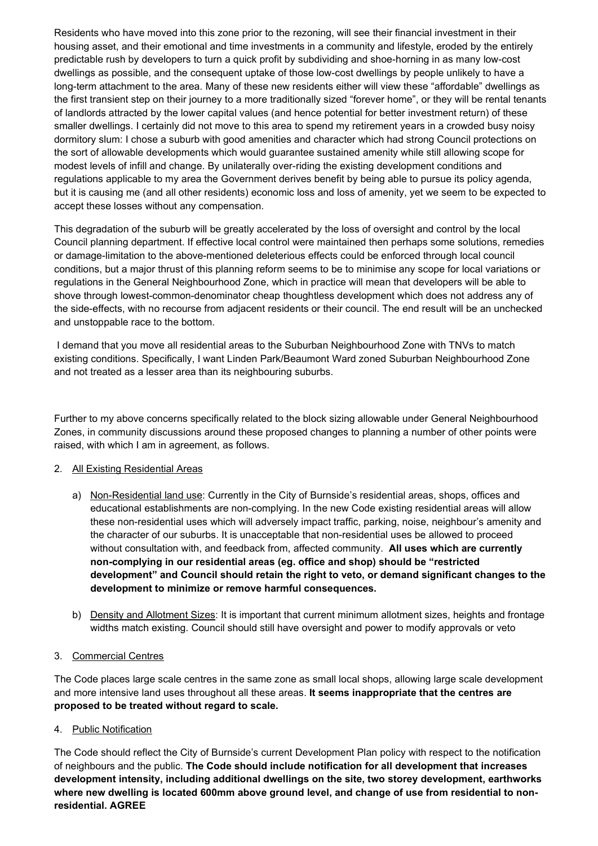Residents who have moved into this zone prior to the rezoning, will see their financial investment in their housing asset, and their emotional and time investments in a community and lifestyle, eroded by the entirely predictable rush by developers to turn a quick profit by subdividing and shoe-horning in as many low-cost dwellings as possible, and the consequent uptake of those low-cost dwellings by people unlikely to have a long-term attachment to the area. Many of these new residents either will view these "affordable" dwellings as the first transient step on their journey to a more traditionally sized "forever home", or they will be rental tenants of landlords attracted by the lower capital values (and hence potential for better investment return) of these smaller dwellings. I certainly did not move to this area to spend my retirement years in a crowded busy noisy dormitory slum: I chose a suburb with good amenities and character which had strong Council protections on the sort of allowable developments which would guarantee sustained amenity while still allowing scope for modest levels of infill and change. By unilaterally over-riding the existing development conditions and regulations applicable to my area the Government derives benefit by being able to pursue its policy agenda, but it is causing me (and all other residents) economic loss and loss of amenity, yet we seem to be expected to accept these losses without any compensation.

This degradation of the suburb will be greatly accelerated by the loss of oversight and control by the local Council planning department. If effective local control were maintained then perhaps some solutions, remedies or damage-limitation to the above-mentioned deleterious effects could be enforced through local council conditions, but a major thrust of this planning reform seems to be to minimise any scope for local variations or regulations in the General Neighbourhood Zone, which in practice will mean that developers will be able to shove through lowest-common-denominator cheap thoughtless development which does not address any of the side-effects, with no recourse from adjacent residents or their council. The end result will be an unchecked and unstoppable race to the bottom.

 I demand that you move all residential areas to the Suburban Neighbourhood Zone with TNVs to match existing conditions. Specifically, I want Linden Park/Beaumont Ward zoned Suburban Neighbourhood Zone and not treated as a lesser area than its neighbouring suburbs.

Further to my above concerns specifically related to the block sizing allowable under General Neighbourhood Zones, in community discussions around these proposed changes to planning a number of other points were raised, with which I am in agreement, as follows.

#### 2. All Existing Residential Areas

- a) Non-Residential land use: Currently in the City of Burnside's residential areas, shops, offices and educational establishments are non-complying. In the new Code existing residential areas will allow these non-residential uses which will adversely impact traffic, parking, noise, neighbour's amenity and the character of our suburbs. It is unacceptable that non-residential uses be allowed to proceed without consultation with, and feedback from, affected community. All uses which are currently non-complying in our residential areas (eg. office and shop) should be "restricted development" and Council should retain the right to veto, or demand significant changes to the development to minimize or remove harmful consequences.
- b) Density and Allotment Sizes: It is important that current minimum allotment sizes, heights and frontage widths match existing. Council should still have oversight and power to modify approvals or veto

#### 3. Commercial Centres

The Code places large scale centres in the same zone as small local shops, allowing large scale development and more intensive land uses throughout all these areas. It seems inappropriate that the centres are proposed to be treated without regard to scale.

#### 4. Public Notification

The Code should reflect the City of Burnside's current Development Plan policy with respect to the notification of neighbours and the public. The Code should include notification for all development that increases development intensity, including additional dwellings on the site, two storey development, earthworks where new dwelling is located 600mm above ground level, and change of use from residential to nonresidential. AGREE